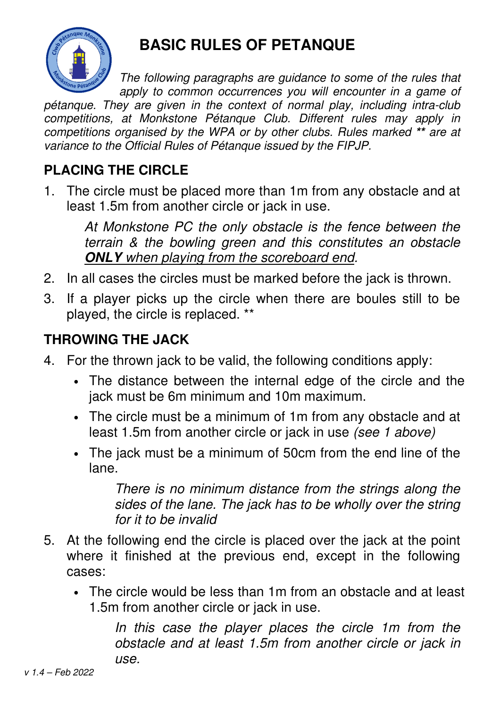

## **BASIC RULES OF PETANQUE**

The following paragraphs are guidance to some of the rules that apply to common occurrences you will encounter in a game of

pétanque. They are given in the context of normal play, including intra-club competitions, at Monkstone Pétanque Club. Different rules may apply in competitions organised by the WPA or by other clubs. Rules marked **\*\*** are at variance to the Official Rules of Pétanque issued by the FIPJP.

## **PLACING THE CIRCLE**

1. The circle must be placed more than 1m from any obstacle and at least 1.5m from another circle or jack in use.

At Monkstone PC the only obstacle is the fence between the terrain & the bowling green and this constitutes an obstacle **ONLY** when playing from the scoreboard end.

- 2. In all cases the circles must be marked before the jack is thrown.
- 3. If a player picks up the circle when there are boules still to be played, the circle is replaced. \*\*

## **THROWING THE JACK**

- 4. For the thrown jack to be valid, the following conditions apply:
	- The distance between the internal edge of the circle and the jack must be 6m minimum and 10m maximum.
	- The circle must be a minimum of 1m from any obstacle and at least 1.5m from another circle or jack in use (see 1 above)
	- The jack must be a minimum of 50cm from the end line of the lane.

There is no minimum distance from the strings along the sides of the lane. The jack has to be wholly over the string for it to be invalid

- 5. At the following end the circle is placed over the jack at the point where it finished at the previous end, except in the following cases:
	- The circle would be less than 1m from an obstacle and at least 1.5m from another circle or jack in use.

In this case the player places the circle 1m from the obstacle and at least 1.5m from another circle or jack in use.